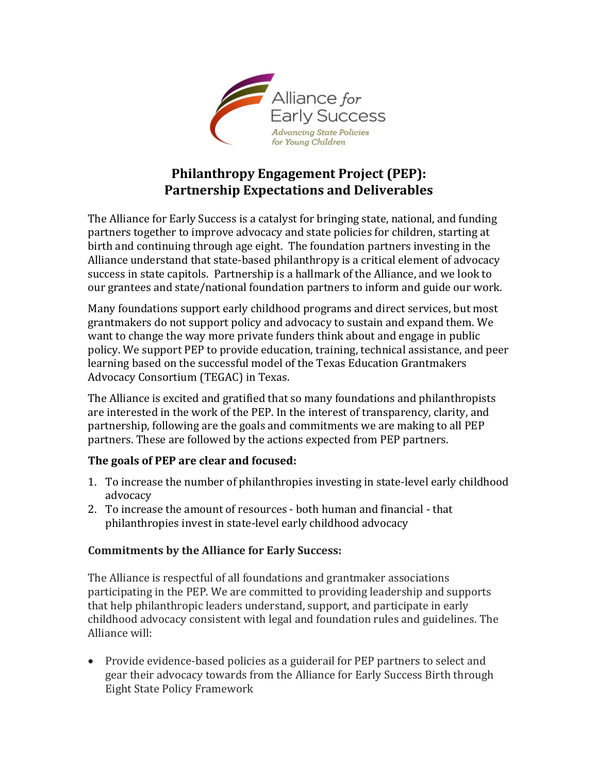

# **Philanthropy Engagement Project (PEP): Partnership Expectations and Deliverables**

The Alliance for Early Success is a catalyst for bringing state, national, and funding partners together to improve advocacy and state policies for children, starting at birth and continuing through age eight. The foundation partners investing in the Alliance understand that state-based philanthropy is a critical element of advocacy success in state capitols. Partnership is a hallmark of the Alliance, and we look to our grantees and state/national foundation partners to inform and guide our work.

Many foundations support early childhood programs and direct services, but most grantmakers do not support policy and advocacy to sustain and expand them. We want to change the way more private funders think about and engage in public policy. We support PEP to provide education, training, technical assistance, and peer learning based on the successful model of the Texas Education Grantmakers Advocacy Consortium (TEGAC) in Texas.

The Alliance is excited and gratified that so many foundations and philanthropists are interested in the work of the PEP. In the interest of transparency, clarity, and partnership, following are the goals and commitments we are making to all PEP partners. These are followed by the actions expected from PEP partners.

### **The goals of PEP are clear and focused:**

- 1. To increase the number of philanthropies investing in state-level early childhood advocacy
- 2. To increase the amount of resources both human and financial that philanthropies invest in state-level early childhood advocacy

### **Commitments by the Alliance for Early Success:**

The Alliance is respectful of all foundations and grantmaker associations participating in the PEP. We are committed to providing leadership and supports that help philanthropic leaders understand, support, and participate in early childhood advocacy consistent with legal and foundation rules and guidelines. The Alliance will:

• Provide evidence-based policies as a guiderail for PEP partners to select and gear their advocacy towards from the Alliance for Early Success Birth through Eight State Policy Framework